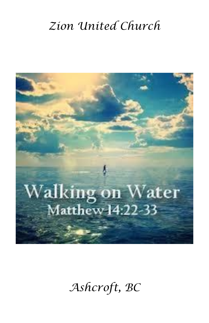# *Zion United Church*



# *Ashcroft, BC*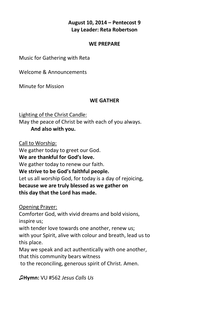### **August 10, 2014 – Pentecost 9 Lay Leader: Reta Robertson**

#### **WE PREPARE**

Music for Gathering with Reta

Welcome & Announcements

Minute for Mission

#### **WE GATHER**

Lighting of the Christ Candle: May the peace of Christ be with each of you always. **And also with you.**

Call to Worship:

We gather today to greet our God.

**We are thankful for God's love.**

We gather today to renew our faith.

**We strive to be God's faithful people.**

Let us all worship God, for today is a day of rejoicing,

**because we are truly blessed as we gather on this day that the Lord has made.**

Opening Prayer:

Comforter God, with vivid dreams and bold visions, inspire us;

with tender love towards one another, renew us;

with your Spirit, alive with colour and breath, lead us to this place.

May we speak and act authentically with one another,

that this community bears witness

to the reconciling, generous spirit of Christ. Amen.

**♫Hymn:** VU #562 *Jesus Calls Us*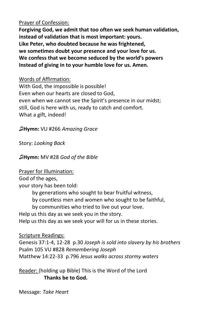#### Prayer of Confession:

**Forgiving God, we admit that too often we seek human validation, instead of validation that is most important: yours. Like Peter, who doubted because he was frightened, we sometimes doubt your presence and your love for us. We confess that we become seduced by the world's powers Instead of giving in to your humble love for us. Amen.**

Words of Affirmation: With God, the impossible is possible! Even when our hearts are closed to God, even when we cannot see the Spirit's presence in our midst; still, God is here with us, ready to catch and comfort. What a gift, indeed!

♫**Hymn:** VU #266 *Amazing Grace*

Story: *Looking Back*

♫**Hymn:** MV #28 *God of the Bible*

Prayer for Illumination:

God of the ages,

your story has been told:

by generations who sought to bear fruitful witness,

by countless men and women who sought to be faithful,

by communities who tried to live out your love.

Help us this day as we seek you in the story.

Help us this day as we seek your will for us in these stories.

Scripture Readings:

Genesis 37:1-4, 12-28 p.30 *Joseph is sold into slavery by his brothers* Psalm 105 VU #828 *Remembering Joseph* Matthew 14:22-33 p.796 *Jesus walks across stormy waters*

Reader: (holding up Bible) This is the Word of the Lord **Thanks be to God.**

Message: *Take Heart*